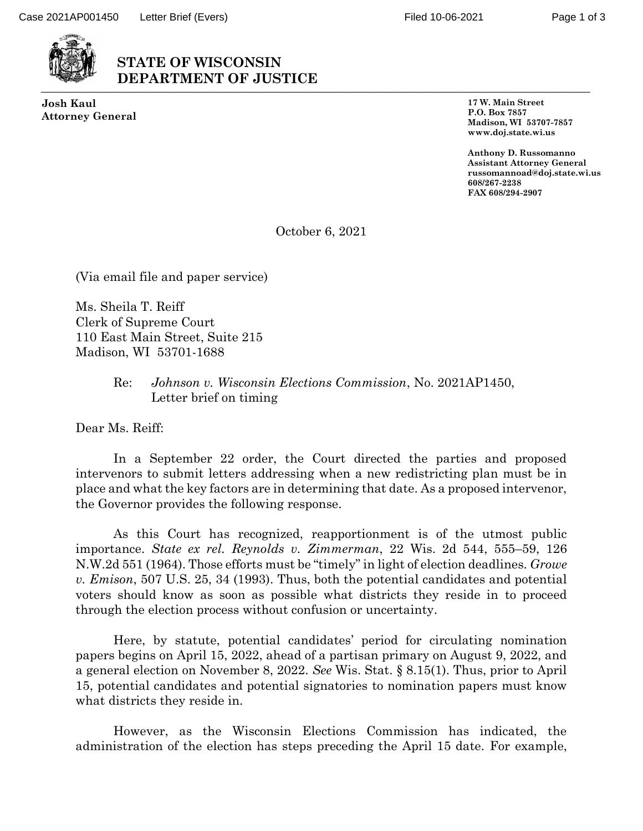

## **STATE OF WISCONSIN DEPARTMENT OF JUSTICE** ⎯⎯⎯⎯⎯⎯⎯⎯⎯⎯⎯⎯⎯⎯⎯⎯⎯⎯⎯⎯⎯⎯⎯⎯⎯⎯⎯⎯⎯⎯⎯⎯⎯⎯⎯⎯⎯⎯⎯⎯⎯⎯⎯⎯

**Josh Kaul Attorney General** **17 W. Main Street P.O. Box 7857 Madison, WI 53707-7857 www.doj.state.wi.us**

**Anthony D. Russomanno Assistant Attorney General russomannoad@doj.state.wi.us 608/267-2238 FAX 608/294-2907**

October 6, 2021

(Via email file and paper service)

Ms. Sheila T. Reiff Clerk of Supreme Court 110 East Main Street, Suite 215 Madison, WI 53701-1688

## Re: *Johnson v. Wisconsin Elections Commission*, No. 2021AP1450, Letter brief on timing

Dear Ms. Reiff:

In a September 22 order, the Court directed the parties and proposed intervenors to submit letters addressing when a new redistricting plan must be in place and what the key factors are in determining that date. As a proposed intervenor, the Governor provides the following response.

As this Court has recognized, reapportionment is of the utmost public importance. *State ex rel. Reynolds v. Zimmerman*, 22 Wis. 2d 544, 555–59, 126 N.W.2d 551 (1964). Those efforts must be "timely" in light of election deadlines. *Growe v. Emison*, 507 U.S. 25, 34 (1993). Thus, both the potential candidates and potential voters should know as soon as possible what districts they reside in to proceed through the election process without confusion or uncertainty.

Here, by statute, potential candidates' period for circulating nomination papers begins on April 15, 2022, ahead of a partisan primary on August 9, 2022, and a general election on November 8, 2022. *See* Wis. Stat. § 8.15(1). Thus, prior to April 15, potential candidates and potential signatories to nomination papers must know what districts they reside in.

However, as the Wisconsin Elections Commission has indicated, the administration of the election has steps preceding the April 15 date. For example,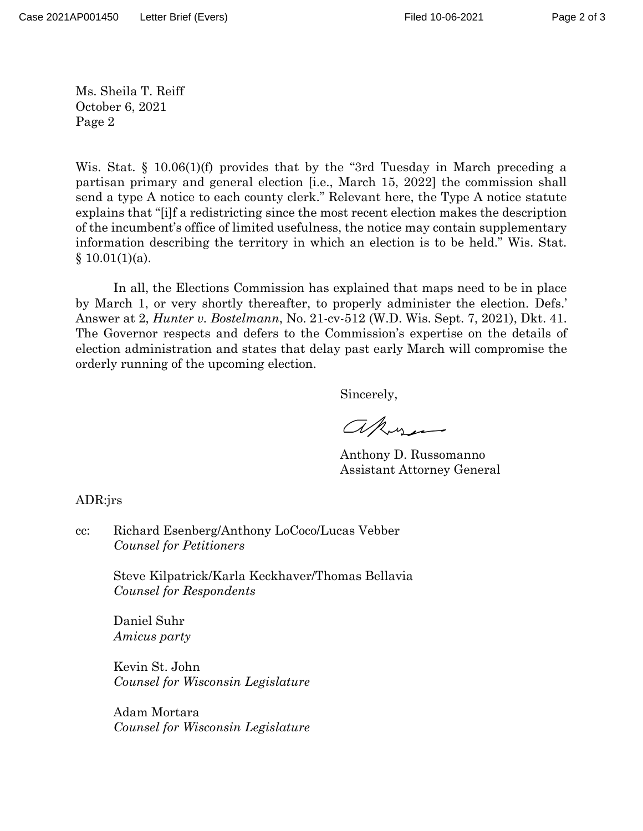Page 2 of 3

Ms. Sheila T. Reiff October 6, 2021 Page 2

Wis. Stat. § 10.06(1)(f) provides that by the "3rd Tuesday in March preceding a partisan primary and general election [i.e., March 15, 2022] the commission shall send a type A notice to each county clerk." Relevant here, the Type A notice statute explains that "[i]f a redistricting since the most recent election makes the description of the incumbent's office of limited usefulness, the notice may contain supplementary information describing the territory in which an election is to be held." Wis. Stat.  $§ 10.01(1)(a).$ 

In all, the Elections Commission has explained that maps need to be in place by March 1, or very shortly thereafter, to properly administer the election. Defs.' Answer at 2, *Hunter v. Bostelmann*, No. 21-cv-512 (W.D. Wis. Sept. 7, 2021), Dkt. 41. The Governor respects and defers to the Commission's expertise on the details of election administration and states that delay past early March will compromise the orderly running of the upcoming election.

Sincerely,

akos

Anthony D. Russomanno Assistant Attorney General

ADR:jrs

cc: Richard Esenberg/Anthony LoCoco/Lucas Vebber *Counsel for Petitioners*

> Steve Kilpatrick/Karla Keckhaver/Thomas Bellavia *Counsel for Respondents*

Daniel Suhr *Amicus party*

Kevin St. John *Counsel for Wisconsin Legislature*

Adam Mortara *Counsel for Wisconsin Legislature*